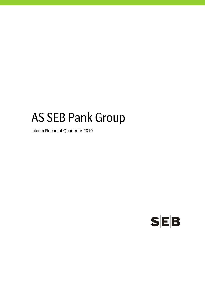# AS SEB Pank Group

Interim Report of Quarter IV 2010

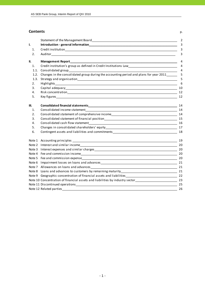### **Contents** p.

|        |                                                                                        | $\overline{2}$ |
|--------|----------------------------------------------------------------------------------------|----------------|
| ı.     |                                                                                        | 3              |
| 1.     |                                                                                        | 3              |
| 2.     |                                                                                        | 3              |
| II.    |                                                                                        | 4              |
| 1.     |                                                                                        | 4              |
| 1.1.   | Consolidated group                                                                     | 4              |
| 1.2.   | Changes in the consolidated group during the accounting period and plans for year 2011 | 5              |
| 1.3.   |                                                                                        | 5              |
| 2.     |                                                                                        | - 6            |
| 3.     |                                                                                        |                |
| 4.     |                                                                                        | 12             |
| 5.     |                                                                                        | 12             |
| Ш.     |                                                                                        | 14             |
| 1.     |                                                                                        |                |
| 2.     | Consolidated statement of comprehensive income<br>14                                   |                |
| 3.     |                                                                                        |                |
| 4.     |                                                                                        |                |
| 5.     |                                                                                        |                |
| 6.     | Contingent assets and liabilities and commitments ______________________________       | 18             |
|        |                                                                                        | 19             |
| Note 2 |                                                                                        |                |
| Note 3 |                                                                                        |                |
| Note 4 |                                                                                        |                |
| Note 5 |                                                                                        |                |
|        |                                                                                        | 21             |
|        | Note 7 Allowances on loans and advances                                                | 21             |
|        |                                                                                        |                |
|        | Note 9 Geographic concentration of financial assets and liabilities<br>22              |                |
|        | Note 10 Concentration of financial assets and liabilities by industry sector<br>23     |                |
|        |                                                                                        |                |
|        |                                                                                        | 26             |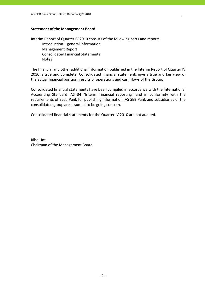### **Statement of the Management Board**

Interim Report of Quarter IV 2010 consists of the following parts and reports: Introduction – general information Management Report Consolidated Financial Statements Notes

The financial and other additional information published in the Interim Report of Quarter IV 2010 is true and complete. Consolidated financial statements give a true and fair view of the actual financial position, results of operations and cash flows of the Group.

Consolidated financial statements have been compiled in accordance with the International Accounting Standard IAS 34 "Interim financial reporting" and in conformity with the requirements of Eesti Pank for publishing information. AS SEB Pank and subsidiaries of the consolidated group are assumed to be going concern.

Consolidated financial statements for the Quarter IV 2010 are not audited.

Riho Unt Chairman of the Management Board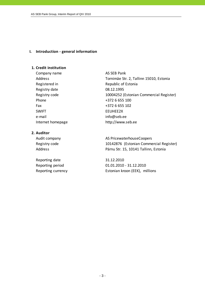### **I. Introduction ‐ general information**

### **1. Credit institution**

Company name AS SEB Pank Registry date 08.12.1995 Phone +372 6 655 100 Fax  $+3726655102$ SWIFT EEUHEE2X e-mail info@seb.ee

Address Tornimäe Str. 2, Tallinn 15010, Estonia Registered in The Republic of Estonia Registry code 10004252 (Estonian Commercial Register) Internet homepage http://www.seb.ee

### **2. Auditor**

Reporting date 31.12.2010

Audit company **AS PricewaterhouseCoopers** Registry code 10142876 (Estonian Commercial Register) Address Pärnu Str. 15, 10141 Tallinn, Estonia

Reporting period 01.01.2010 - 31.12.2010 Reporting currency Estonian kroon (EEK), millions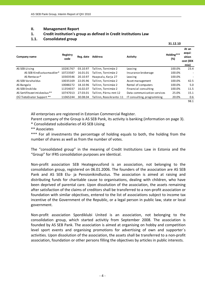### **II. Management Report**

### **1. Credit institution's group as defined in Credit Institutions Law**

### **1.1. Consolidated group**

|                              |                  |           |                          |                             | 31.12.10          |                                                |
|------------------------------|------------------|-----------|--------------------------|-----------------------------|-------------------|------------------------------------------------|
| Company name                 | Registry<br>code | Reg. date | <b>Address</b>           | <b>Activity</b>             | Holding***<br>(%) | At an<br>acqui-<br>sition<br>cost (EEK<br>mio) |
| AS SEB Liising               | 10281767         | 03.10.97  | Tallinn, Tornimäe 2      | Leasing                     | 100.0%            | 23.4                                           |
| AS SEB Kindlustusmaakler*    | 10723587         | 16.01.01  | Tallinn. Tornimäe 2      | Insurance brokerage         | 100.0%            | $\overline{a}$                                 |
| AS Rentacar*                 | 10303546         | 20.10.97  | Haapsalu, Karja 27       | Leasing                     | 100.0%            |                                                |
| AS SEB Varahaldus            | 10035169         | 22.05.96  | Tallinn, Tornimäe 2      | Asset management            | 100.0%            | 42.5                                           |
| AS Bangalo                   | 10088272         | 18.10.96  | Tallinn, Tornimäe 2      | Rental of computers         | 100.0%            | 5.0                                            |
| AS SEB Enskilda              | 11354037         | 16.02.07  | Tallinn, Tornimäe 2      | Financial consulting        | 100.0%            | 11.5                                           |
| AS Sertifits eerimiskeskus** | 10747013         | 27.03.01  | Tallinn, Pärnu mnt 12    | Data communication services | 25.0%             | 15.1                                           |
| OÜ TietoEnator Support **    | 11065244         | 30.08.04  | Tallinn, Roosikrantsi 11 | IT consulting, programming  | 20.0%             | 0.6                                            |
|                              |                  |           |                          |                             |                   | 98.1                                           |

All enterprises are registered in Estonian Commercial Register.

Parent company of the Group is AS SEB Pank, its activity is banking (information on page 3).

\* Consolidated subsidiaries of AS SEB Liising

\*\* Associates

\*\*\* For all investments the percentage of holding equals to both, the holding from the number of shares as well as from the number of votes.

The "consolidated group" in the meaning of Credit Institutions Law in Estonia and the "Group" for IFRS consolidation purposes are identical.

Non‐profit association SEB Heategevusfond is an association, not belonging to the consolidation group, registered on 06.01.2006. The founders of the association are AS SEB Pank and AS SEB Elu‐ ja Pensionikindlustus. The association is aimed at raising and distributing funds for charitable cause to organisations, dealing with children, who have been deprived of parental care. Upon dissolution of the association, the assets remaining after satisfaction of the claims of creditors shall be transferred to a non‐profit association or foundation with similar objectives, entered to the list of associations subject to income tax incentive of the Government of the Republic, or a legal person in public law, state or local government.

Non‐profit association Spordiklubi United is an association, not belonging to the consolidation group, which started activitiy from September 2008. The association is founded by AS SEB Pank. The association is aimed at organising on hobby and competition level sport events and organising promotions for advertising of own and supporter´s activities. Upon dissolution of the association, the assets shall be transferred to a non‐profit association, foundation or other persons filling the objectives by articles in public interests.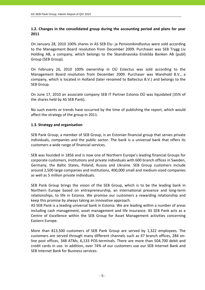### **1.2. Changes in the consolidated group during the accounting period and plans for year 2011**

On January 28, 2010 100% shares in AS SEB Elu‐ ja Pensionikindlustus were sold according to the Management Board resolution from December 2009. Purchaser was SEB Trygg Liv Holding AB, a company, which belongs to the Skandinaviska Enskilda Banken AB (publ) Group (SEB Group).

On February 26, 2010 100% ownership in OÜ Estectus was sold according to the Management Board resolution from December 2009. Purchaser was Warehold B.V., a company, which is located in Holland (later renamed to Baltectus B.V.) and belongs to the SEB Group.

On June 17, 2010 an associate company SEB IT Partner Estonia OÜ was liquidated (35% of the shares held by AS SEB Pank).

No such events or trends have occurred by the time of publishing the report, which would affect the strategy of the group in 2011.

### **1.3. Strategy and organisation**

SEB Pank Group, a member of SEB Group, is an Estonian financial group that serves private individuals, companies and the public sector. The bank is a universal bank that offers its customers a wide range of financial services.

SEB was founded in 1856 and is now one of Northern Europe's leading financial Groups for corporate customers, institutions and private individuals with 600 branch offices in Sweden, Germany, the Baltic States, Poland, Russia and Ukraine. SEB Group customers include around 2,500 large companies and institutions, 400,000 small and medium‐sized companies as well as 5 million private individuals.

SEB Pank Group brings the vision of the SEB Group, which is to be the leading bank in Northern Europe based on entrepreneurship, an international presence and long‐term relationships, to life in Estonia. We promise our customers a rewarding relationship and keep this promise by always taking an innovative approach.

AS SEB Pank is a leading universal bank in Estonia. We are leading within a number of areas including cash management, asset management and life insurance. AS SEB Pank acts as a Centre of Excellence within the SEB Group for Asset Management activities concerning Eastern Europe.

More than 813,500 customers of SEB Pank Group are served by 1,322 employees. The customers are served through many different channels such as 47 branch offices, 284 on‐ line post offices, 348 ATMs, 6,133 POS‐terminals. There are more than 504,700 debit and credit cards in use. In addition, over 74% of our customers use our SEB Internet Bank and SEB Internet Bank for Business services.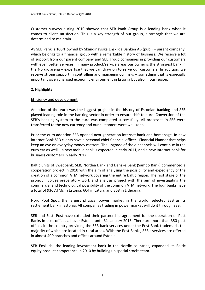Customer surveys during 2010 showed that SEB Pank Group is a leading bank when it comes to client satisfaction. This is a key strength of our group, a strength that we are determined to maintain.

AS SEB Pank is 100% owned by Skandinaviska Enskilda Banken AB (publ) – parent company, which belongs to a financial group with a remarkable history of business. We receive a lot of support from our parent company and SEB group companies in providing our customers with even better services. In many product/service areas our owner is the strongest bank in the Nordic arena – expertise that we can draw on to serve our customers. In addition, we receive strong support in controlling and managing our risks – something that is especially important given changed economic environment in Estonia but also in our region.

### **2. Highlights**

### Efficiency and development

Adaption of the euro was the biggest project in the history of Estonian banking and SEB played leading role in the banking sector in order to ensure shift to euro. Conversion of the SEB's banking system to the euro was completed successfully. All processes in SEB were transferred to the new currency and our customers were well kept.

Prior the euro adoption SEB opened next-generation internet bank and homepage. In new internet Bank SEB clients have a personal chief financial officer –Financial Planner that helps keep an eye on everyday money matters. The upgrade of the e‐channels will continue in the euro era as well – a new mobile bank is expected in early 2011, and a new Internet bank for business customers in early 2012.

Baltic units of Swedbank, SEB, Nordea Bank and Danske Bank (Sampo Bank) commenced a cooperation project in 2010 with the aim of analysing the possibility and expediency of the creation of a common ATM network covering the entire Baltic region. The first stage of the project involves preparatory work and analysis project with the aim of investigating the commercial and technological possibility of the common ATM network. The four banks have a total of 936 ATMs in Estonia, 604 in Latvia, and 868 in Lithuania.

Nord Pool Spot, the largest physical power market in the world, selected SEB as its settlement bank in Estonia. All companies trading in power market will do it through SEB.

SEB and Eesti Post have extended their partnership agreement for the operation of Post Banks in post offices all over Estonia until 31 January 2013. There are more than 350 post offices in the country providing the SEB bank services under the Post Bank trademark, the majority of which are located in rural areas. With the Post Banks, SEB's services are offered in almost 400 branches and offices around Estonia.

SEB Enskilda, the leading investment bank in the Nordic countries, expanded its Baltic equity product competence in 2010 by building up special stocks team.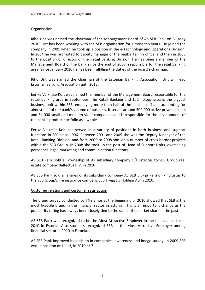### **Organisation**

Riho Unt was named the chairman of the Management Board of AS SEB Pank on 31 May 2010. Unt has been working with the SEB organisation for almost ten years. He joined the company in 2001 when he took up a position in the e‐Technology and Operations Division. In 2004 he was promoted to deputy manager of the bank's Tallinn office, and then in 2006 to the position of director of the Retail Banking Division. He has been a member of the Management Board of the bank since the end of 2007, responsible for the retail banking area. Since January 2010 he has been fulfilling the duties of the board's chairman.

Riho Unt was named the chairman of the Estonian Banking Association. Unt will lead Estonian Banking Association until 2012.

Eerika Vaikmäe‐Koit was named the member of the Management Board responsible for the retail banking area in September. The Retail Banking and Technology area is the biggest business unit within SEB, employing more than half of the bank's staff and accounting for almost half of the bank's volume of business. It serves around 500,000 active private clients and 34,000 small and medium‐sized companies and is responsible for the development of the bank's product portfolio as a whole.

Eerika Vaikmäe‐Koit has served in a variety of positions in both business and support functions in SEB since 1996. Between 2001 and 2005 she was the Deputy Manager of the Retail Banking Division, and from 2005 to 2008 she led a number of cross-border projects within the SEB Group. In 2008 she took up the post of Head of Support Units, overseeing personnel, legal, marketing and communication functions.

AS SEB Pank sold all owneship of its subsidiary company OÜ Estectus to SEB Group real estate company Baltectus B.V. in 2010.

AS SEB Pank sold all shares of its subsidiary company AS SEB Elu‐ ja Pensionikindlustus to the SEB Group's life insurance company SEB Trygg Liv Holding AB in 2010.

### Customer relations and customer satisfaction

The brand survey conducted by TNS Emor at the beginning of 2010 showed that SEB is the most likeable brand in the financial sector in Estonia. This is an important change as the popularity rating has always been closely tied to the size of the market share in the past.

AS SEB Pank was recognized to be the Most Attractive Employer in the financial sector in 2010 in Estonia. Also students recognized SEB as the Most Attractive Employer among financial sector in 2010 in Estonia.

AS SEB Pank improved its position in companies' awareness and image survey. In 2009 SEB was in position nr 11‐13, in 2010 nr 7.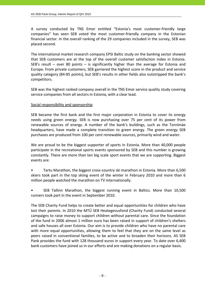A survey conducted by TNS Emor entitled "Estonia's most customer‐friendly large companies" has seen SEB voted the most customer‐friendly company in the Estonian financial sector. In the overall ranking of the 29 companies included in the survey, SEB was placed second.

The international market research company EPSI Baltic study on the banking sector showed that SEB customers are at the top of the overall customer satisfaction index in Estonia. SEB's result – over 80 points – is significantly higher than the average for Estonia and Europe. From private customers, SEB garnered the highest score in the product and service quality category (84‐85 points), but SEB's results in other fields also outstripped the bank's competitors.

SEB was the highest ranked company overall in the TNS Emor service quality study covering service companies from all sectors in Estonia, with a clear lead.

### Social responsibility and sponsorship

SEB became the first bank and the first major corporation in Estonia to cover its energy needs using green energy. SEB is now purchasing over 75 per cent of its power from renewable sources of energy. A number of the bank's buildings, such as the Tornimäe headquarters, have made a complete transition to green energy. The green energy SEB purchases are produced from 100 per cent renewable sources, primarily wind and water.

We are proud to be the biggest supporter of sports in Estonia. More than 40,000 people participate in the recreational sports events sponsored by SEB and this number is growing constantly. There are more than ten big scale sport events that we are supporting. Biggest events are:

• Tartu Marathon, the biggest cross‐country ski marathon in Estonia. More than 6,500 skiers took part in the top skiing event of the winter in February 2010 and more than 6 million people watched the marathon on TV internationally.

• SEB Tallinn Marathon, the biggest running event in Baltics. More than 10,500 runners took part in the event in September 2010.

The SEB Charity Fund helps to create better and equal opportunities for children who have lost their parents. In 2010 the MTÜ SEB Heategevusfond (Charity Fund) conducted several campaigns to raise money to support children without parental care. Since the foundation of the fund in 2006 almost 1 million euro has been raised in support of children's shelters and safe houses all over Estonia. Our aim is to provide children who have no parental care with more equal opportunities, allowing them to feel that they are on the same level as peers raised in conventional families, to be active and to broaden their horizons. AS SEB Pank provides the fund with 128 thousand euros in support every year. To date over 6,400 bank customers have joined us in our efforts and are making donations on a regular basis.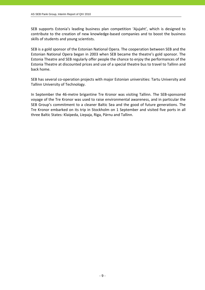SEB supports Estonia's leading business plan competition 'Ajujaht', which is designed to contribute to the creation of new knowledge‐based companies and to boost the business skills of students and young scientists.

SEB is a gold sponsor of the Estonian National Opera. The cooperation between SEB and the Estonian National Opera began in 2003 when SEB became the theatre's gold sponsor. The Estonia Theatre and SEB regularly offer people the chance to enjoy the performances of the Estonia Theatre at discounted prices and use of a special theatre bus to travel to Tallinn and back home.

SEB has several co-operation projects with major Estonian universities: Tartu University and Tallinn University of Technology.

In September the 46‐metre brigantine Tre Kronor was visiting Tallinn. The SEB‐sponsored voyage of the Tre Kronor was used to raise environmental awareness, and in particular the SEB Group's commitment to a cleaner Baltic Sea and the good of future generations. The Tre Kronor embarked on its trip in Stockholm on 1 September and visited five ports in all three Baltic States: Klaipeda, Liepaja, Riga, Pärnu and Tallinn.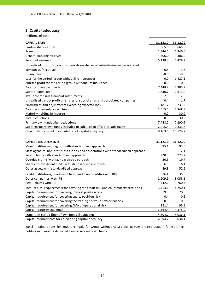### **3. Capital adequacy**

(millions of EEK)

| <b>CAPITAL BASE</b>                                                                                        | 31.12.10 | 31.12.09   |
|------------------------------------------------------------------------------------------------------------|----------|------------|
| Paid-in share capital                                                                                      | 665.6    | 665.6      |
| Premium                                                                                                    | 1,346.6  | 1,346.6    |
| General banking reserves                                                                                   | 306.0    | 306.0      |
| Retained earnings                                                                                          | 5,138.8  | 6,428.2    |
| Unrealised profit for previous periods on shares of subsidiaries and associated                            |          |            |
| companies (negative)                                                                                       | $-0.8$   | $-3.8$     |
| Intangibles                                                                                                | $-8.0$   | $-9.6$     |
| Loss for the period (group without life insurance)                                                         | 0.0      | $-1,427.1$ |
| Audited profit for the period (group without life insurance)                                               | 0.0      | 0.0        |
| Total primary own funds                                                                                    | 7,448.2  | 7,305.9    |
| Subordinated debt                                                                                          | 1,830.7  | 2,613.0    |
| Available for sale financial instruments                                                                   | 2.6      | 2.9        |
| Unrealised part of profit on shares of subsidiaries and associated companies                               | 0.4      | 1.7        |
| Allowances and adjustments exceeding expected loss                                                         | 181.7    | 231.2      |
| Total supplementary own funds                                                                              | 2,015.4  | 2,848.8    |
| Majority holding in insurers                                                                               | 0.0      | 30.0       |
| Total deductions                                                                                           | 0.0      | 30.0       |
| Primary own funds after deductions                                                                         | 7,448.2  | 7,290.9    |
| Supplementary own funds included in calculation of capital adequacy                                        | 2,015.4  | 2,833.8    |
| Own funds included in calculation of capital adequacy                                                      | 9,463.6  | 10,124.7   |
|                                                                                                            |          |            |
| <b>CAPITAL REQUIREMENTS</b>                                                                                | 31.12.10 | 31.12.09   |
| Municipalities and regions with standardised approach                                                      | 85.1     | 92.0       |
| State agencies, non-profit institutions and associations with standardised approach                        | 1.8      | 2.1        |
| Retail claims with standardised approach                                                                   | 220.5    | 223.7      |
| Overdue claims with standardised approach                                                                  | 20.5     | 19.7       |
| Shares of investment funds with standardised approach                                                      | 6.9      | 6.1        |
| Other assets with standardised approach                                                                    | 49.8     | 52.6       |
| Credit institutions, investment firms and municipalities with IRB                                          | 76.4     | 35.5       |
| Other companies with IRB                                                                                   | 2,209.9  | 3,058.1    |
| Retail claims with IRB                                                                                     | 742.2    | 760.3      |
| Total capital requirements for covering the credit risk and counterparty credit risk                       | 3,413.1  | 4,250.1    |
| Capital requirement for covering interest position risk                                                    | 19.5     | 28.9       |
| Capital requirement for covering equity position risk                                                      | 0.4      | 0.5        |
| Capital requirement for covering the trading portfolio settlement risk                                     | 0.0      | 0.0        |
|                                                                                                            |          |            |
| Capital requirement for covering AMA of operational risk                                                   | 131.4    | 95.5       |
| Capital requirements total                                                                                 | 3,564.4  | 4,375.0    |
| Transition period floor of own funds if using IRB<br>Capital requirements for calculating capital adequacy | 4,694.7  | 5,036.1    |

Basel II calculations for 2009 are made for Group without AS SEB Elu- ja Pensionikindlustus (life insurance), holding in insurer is deducted from assets and own funds.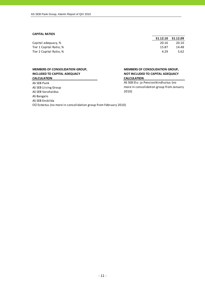### **CAPITAL RATIOS**

Tier 1 Capital Ratio, % 15.87 14.48 Tier 2 Capital Ratio, % 4.29 5.62

### **MEMBERS OF CONSOLIDATION GROUP, INCLUDED TO CAPITAL ADEQUACY CALCULATION**

AS SEB Pank AS SEB Liising Group AS SEB Varahaldus AS Bangalo AS SEB Enskilda OÜ Estectus (no more in consolidation group from February 2010)

## **31.12.10 31.12.09** Capital adequacy, % 20.16 20.10

### **MEMBERS OF CONSOLIDATION GROUP, NOT INCLUDED TO CAPITAL ADEQUACY CALCULATION**

AS SEB Elu‐ ja Pensionikindlustus (no more in consolidation group from January 2010)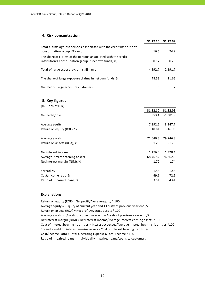### **4. Risk concentration**

|                                                                                                                         | 31.12.10 | 31.12.09 |
|-------------------------------------------------------------------------------------------------------------------------|----------|----------|
| Total claims against persons associated with the credit institution's<br>consolidation group, EEK mio                   | 16.6     | 24.9     |
| The share of claims of the persons associated with the credit<br>institution's consolidation group in net own funds, %, | 0.17     | 0.25     |
| Total of large exposure claims, EEK mio                                                                                 | 4,592.7  | 2.191.7  |
| The share of large exposure claims in net own funds, %                                                                  | 48.53    | 21.65    |
| Number of large exposure customers                                                                                      | 5        |          |

### **5. Key figures**

| (millions of EEK)               |          |            |
|---------------------------------|----------|------------|
|                                 | 31.12.10 | 31.12.09   |
| Net profit/loss                 | 853.4    | $-1,381.9$ |
| Average equity                  | 7,892.2  | 8,147.7    |
| Return on equity (ROE), %       | 10.81    | $-16.96$   |
| Average assets                  | 71,040.3 | 79,746.8   |
| Return on assets (ROA), %       | 1.20     | $-1.73$    |
| Net interest income             | 1,176.5  | 1,328.4    |
| Average interest earning assets | 68,467.2 | 76,362.3   |
| Net interest margin (NIM), %    | 1.72     | 1.74       |
| Spread, %                       | 1.58     | 1.48       |
| Cost/Income ratio, %            | 49.1     | 72.5       |
| Ratio of impaired loans, %      | 3.51     | 4.41       |

### **Explanations**

Return on equity (ROE) = Net profit/Average equity \* 100 Average equity = (Equity of current year end + Equity of previous year end)/2 Return on assets (ROA) = Net profit/Average assets \* 100 Average assets = (Assets of current year end + Assets of previous year end)/2 Cost of interest bearing liabilities = Interest expenses/Average interest bearing liabilities \*100 Cost/Income Ratio = Total Operating Expenses/Total Income \* 100 Spread = Yield on interest earning assets ‐ Cost of interest bearing liabilities Ratio of impaired loans = Individually impaired loans/Loans to customers Net interest margin (NIM) = Net interest income/Average interest earning assets \* 100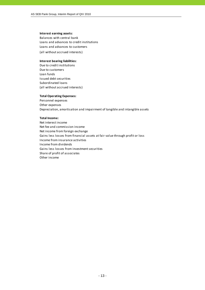### **Interest earning assets:**

Balances with central bank Loans and advances to credit institutions (all without accrued interests) Loans and advances to customers

### **Interest bearing liabilities:**

Due to credit institutions Due to customers Loan funds Issued debt securities Subordinated loans (all without accrued interests)

### **Total Operating Expenses:**

Personnel expenses Other expenses Depreciation, amortisation and impairment of tangible and intangible assets

### **Total Income:**

Net interest income Net fee and commission income Net income from foreign exchange Gains less losses from financial assets at fair value through profit or loss Income from insurance activities Income from dividends Gains less losses from investment securities Share of profit of associates Other income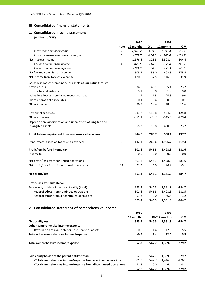### **III. Consolidated financial statements**

### **1. Consolidated income statement**

|                                                                  |                | 2010      |          | 2009          |          |
|------------------------------------------------------------------|----------------|-----------|----------|---------------|----------|
|                                                                  | Note           | 12 months | QIV      | 12 months     | QIV      |
| Interest and similar income                                      | $\overline{2}$ | 1,948.2   | 489.3    | 3,093.4       | 589.1    |
| Interest expenses and similar charges                            | 3              | $-771.7$  | $-164.0$ | $-1,765.0$    | $-284.7$ |
| Net Interest Income                                              |                | 1,176.5   | 325.3    | 1,328.4       | 304.4    |
| Fee and commission income                                        | 4              | 827.5     | 216.8    | 855.8         | 246.2    |
| Fee and commission expense                                       | 5              | -224.3    | $-60.8$  | $-253.3$      | $-70.8$  |
| Net fee and commission income                                    |                | 603.2     | 156.0    | 602.5         | 175.4    |
| Net income from foreign exchange                                 |                | 120.5     | 37.5     | 116.5         | 31.9     |
| Gains less losses from financial assets at fair value through    |                |           |          |               |          |
| profit or loss                                                   |                | $-34.0$   | $-46.1$  | 65.4          | 23.7     |
| Income from dividends                                            |                | 0.1       | 0.0      | 1.9           | 0.0      |
| Gains less losses from investment securities                     |                | 1.4       | 1.5      | 25.3          | 19.0     |
| Share of profit of associates                                    |                | 0.1       | 0.4      | 0.9           | 0.1      |
| Other income                                                     |                | 36.3      | 19.4     | 18.5          | 11.6     |
| Personnel expenses                                               |                | $-533.7$  | $-113.8$ | $-594.5$      | $-125.8$ |
| Other expenses                                                   |                | $-371.1$  | $-78.7$  | $-545.6$      | $-279.4$ |
| Depreciation, amortisation and impairment of tangible and        |                |           |          |               |          |
| intangible assets                                                |                | $-55.3$   | $-15.8$  | $-450.9$      | $-23.2$  |
| Profit before impairment losses on loans and advances            |                | 944.0     | 285.7    | 568.4         | 137.7    |
| Impairment losses on loans and advances                          | 6              | $-142.4$  | 260.6    | $-1,996.7$    | $-419.3$ |
| Profit/loss before income tax                                    |                | 801.6     | 546.3    | $-1,428.3$    | $-281.6$ |
| Income tax                                                       |                | 0.0       | 0.0      | 0.0           | 0.0      |
| Net profit/loss from continued operations                        |                | 801.6     | 546.3    | $-1,428.3$    | $-281.6$ |
| Net profit/loss from discontinued operations                     | 11             | 51.8      | 0.0      | 46.4          | $-3.1$   |
|                                                                  |                |           |          |               |          |
| Net profit/loss                                                  |                | 853.4     | 546.3    | $-1,381.9$    | $-284.7$ |
| Profit/loss attributable to:                                     |                |           |          |               |          |
| Sole equity holder of the parent entity (total)                  |                | 853.4     | 546.3    | $-1,381.9$    | $-284.7$ |
| -Net profit/loss from continued operations                       |                | 801.6     | 546.3    | $-1,428.3$    | $-281.5$ |
| -Net profit/loss from discontinued operations                    |                | 51.8      | $0.0\,$  | 46.4          | $-3.2$   |
|                                                                  |                | 853.4     | 546.3    | $-1,381.9$    | -284.7   |
| 2. Consolidated statement of comprehensive income                |                |           |          |               |          |
|                                                                  |                | 2010      |          | 2009          |          |
|                                                                  |                | 12 months |          | QIV 12 months | QIV      |
| Net profit/loss                                                  |                | 853.4     | 546.3    | $-1,381.9$    | $-284.7$ |
| Other comprehensive income/expense                               |                |           |          |               |          |
| Revaluation of available-for-sale financial assets               |                | $-0.6$    | 1.4      | 12.0          | 5.5      |
| Total other comprehensive income/expense                         |                | $-0.6$    | 1.4      | 12.0          | 5.5      |
|                                                                  |                |           |          |               |          |
| Total comprehensive income/expense                               |                | 852.8     | 547.7    | $-1,369.9$    | $-279.2$ |
|                                                                  |                |           |          |               |          |
| Sole equity holder of the parent entity (total)                  |                | 852.8     | 547.7    | $-1,369.9$    | $-279.2$ |
| -Total comprehensive income/expense from continued operations    |                | 801.0     | 547.7    | $-1,416.3$    | $-276.1$ |
| -Total comprehensive income/expense from discontinued operations |                | 51.8      | 0.0      | 46.4          | $-3.1$   |
|                                                                  |                | 852.8     | 547.7    | $-1,369.9$    | $-279.2$ |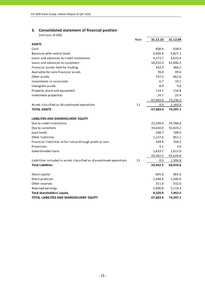### **3. Consolidated statement of financial position**

|                                                                      | Note | 31.12.10 | 31.12.09 |
|----------------------------------------------------------------------|------|----------|----------|
| <b>ASSETS</b>                                                        |      |          |          |
| Cash                                                                 |      | 608.4    | 638.9    |
| Balances with central bank                                           |      | 4,946.9  | 4,827.1  |
| Loans and advances to credit institutions                            |      | 4,373.7  | 4,633.4  |
| Loans and advances to customers                                      |      | 56,432.0 | 61,846.3 |
| Financial assets held for trading                                    |      | 342.3    | 366.2    |
| Available-for-sale financial assets                                  |      | 78.8     | 99.6     |
| Other assets                                                         |      | 747.2    | 662.8    |
| Investments in associates                                            |      | 6.7      | 10.1     |
| Intangible assets                                                    |      | 8.0      | 9.6      |
| Property, plant and equipment                                        |      | 114.7    | 116.8    |
| Investment properties                                                |      | 24.7     | 25.4     |
|                                                                      |      | 67,683.4 | 73,236.2 |
| Assets classified as discontinued operations                         | 11   | 0.0      | 1,160.9  |
| <b>TOTAL ASSETS</b>                                                  |      | 67,683.4 | 74,397.1 |
| LIABILITIES AND SHAREHOLDERS' EQUITY                                 |      |          |          |
| Due to credit institutions                                           |      | 22,209.0 | 29,786.0 |
| Due to customers                                                     |      | 33,630.0 | 31,824.2 |
| Loan funds                                                           |      | 208.7    | 188.5    |
| Other liabilities                                                    |      | 1,127.6  | 851.1    |
| Financial liabilities at fair value through profit or loss           |      | 349.4    | 358.5    |
| Provisions                                                           |      | 4.1      | 2.6      |
| Subordinated loans                                                   |      | 1,833.7  | 2,615.9  |
|                                                                      |      | 59,362.5 | 65,626.8 |
| Liabilities included in assets classified as discontinued operations | 11   | 0.0      | 1,306.8  |
| <b>Total Liabilities</b>                                             |      | 59,362.5 | 66,933.6 |
| Share capital                                                        |      | 665.6    | 665.6    |
| Share premium                                                        |      | 1,346.6  | 1,346.6  |
| Other reserves                                                       |      | 311.9    | 332.0    |
| Retained earnings                                                    |      | 5,996.8  | 5,119.3  |
| <b>Total shareholders' equity</b>                                    |      | 8,320.9  | 7,463.5  |
| TOTAL LIABILITIES AND SHAREHOLDERS' EQUITY                           |      | 67,683.4 | 74,397.1 |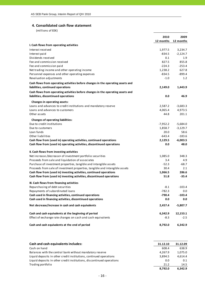### **4. Consolidated cash flow statement**

|                                                                                 | 2010<br>12 months | 2009<br>12 months |
|---------------------------------------------------------------------------------|-------------------|-------------------|
| I. Cash flows from operating activities                                         |                   |                   |
| Interest received                                                               | 1,977.5           | 3,234.7           |
| Interest paid                                                                   | $-834.5$          | $-2,124.7$        |
| Dividends received                                                              | 0.1               | 1.9               |
| Fee and commission received                                                     | 827.5             | 855.8             |
| Fee and commission paid                                                         | $-224.3$          | $-253.4$          |
| Net trading income and other operating income                                   | 1,238.2           | 627.8             |
| Personnel expenses and other operating expenses                                 | $-834.5$          | $-899.4$          |
| Revaluation adjustments                                                         | $-1.0$            | 1.2               |
| Cash flows from operating activities before changes in the operating assets and |                   |                   |
| liabilities, continued operations                                               | 2,149.0           | 1,443.9           |
| Cash flows from operating activities before changes in the operating assets and |                   |                   |
| liabilities, discontinued operations                                            | 0.0               | 46.9              |
| Changes in operating assets:                                                    |                   |                   |
| Loans and advances to credit institutions and mandatory reserve                 | 2,587.2           | $-3,683.3$        |
| Loans and advances to customers                                                 | 4,065.4           | 4,973.5           |
| Other assets                                                                    | 44.8              | 201.1             |
| <b>Changes of operating liabilities:</b>                                        |                   |                   |
| Due to credit institutions                                                      | $-7,952.2$        | $-5,684.0$        |
| Due to customers                                                                | 1,858.7           | $-3,129.7$        |
| Loan funds                                                                      | 20.0              | 58.6              |
| Other liabilities                                                               | -643.4            | $-183.6$          |
| Cash flow from (used in) operating activities, continued operations             | 2,129.5           | $-6,003.5$        |
| Cash flow from (used in) operating activities, discontinued operations          | 0.0               | 48.0              |
| II. Cash flows from investing activities                                        |                   |                   |
| Net increase-/decrease+ of investment portfolio securities                      | 1,085.0           | 348.3             |
| Proceeds from sale and liquidation of associates                                | 3.4               | 4.9               |
| Purchase of investment properties, tangible and intangible assets               | $-52.3$           | $-68.7$           |
| Proceeds from sale of investment properties, tangible and intangible assets     | 30.4              | 2.1               |
| Cash flow from (used in) investing activities, continued operations             | 1,066.5           | 286.6             |
| Cash flow from (used in) investing activities, discontinued operations          | 51.8              | $-35.4$           |
| III. Cash flows from financing activities                                       |                   |                   |
| Repurchasing of debt securities                                                 | $-8.1$            | $-103.4$          |
| Repayments of subordinated loans                                                | $-782.3$          | 0.0               |
| Cash used in financing activities, continued operations                         | $-790.4$          | $-103.4$          |
| Cash used in financing activities, discontinued operations                      | 0.0               | 0.0               |
| Net decrease/increase in cash and cash equivalents                              | 2,457.4           | $-5,807.7$        |
| Cash and cash equivalents at the beginning of period                            | 6,342.9           | 12,153.1          |
| Effect of exchange rate changes on cash and cash equivalents                    | $-8.3$            | $-2.5$            |
| Cash and cash equivalents at the end of period                                  | 8,792.0           | 6,342.9           |

| Cash and cash equivalents includes:                                   | 31.12.10 | 31.12.09 |
|-----------------------------------------------------------------------|----------|----------|
| Cash on hand                                                          | 608.4    | 638.9    |
| Balances with the central bank without mandatory reserve              | 4.267.9  | 1,075.0  |
| Liquid deposits in other credit institutions, continued operations    | 3.894.5  | 4.614.4  |
| Liquid deposits in other credit institutions, discontinued operations | 0.0      | 0.1      |
| Trading portfolio                                                     | 21.2     | 14.5     |
|                                                                       | 8.792.0  | 6.342.9  |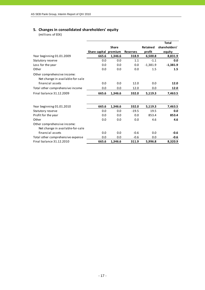### **5. Changes in consolidated shareholders' equity**

|                                                                 |                       |              |                 |                 | <b>Total</b>  |
|-----------------------------------------------------------------|-----------------------|--------------|-----------------|-----------------|---------------|
|                                                                 |                       | <b>Share</b> |                 | <b>Retained</b> | shareholders' |
|                                                                 | Share capital premium |              | <b>Reserves</b> | profit          | equity        |
| Year beginning 01.01.2009                                       | 665.6                 | 1,346.6      | 318.9           | 6,500.8         | 8,831.9       |
| Statutory reserve                                               | 0.0                   | 0.0          | 1.1             | $-1.1$          | 0.0           |
| Loss for the year                                               | 0.0                   | 0.0          | 0.0             | $-1,381.9$      | $-1,381.9$    |
| Other                                                           | 0.0                   | 0.0          | 0.0             | 1.5             | 1.5           |
| Other comprehensive income:<br>Net change in available-for-sale |                       |              |                 |                 |               |
| financial assets                                                | 0.0                   | 0.0          | 12.0            | 0.0             | 12.0          |
| Total other comprehensive income                                | 0.0                   | 0.0          | 12.0            | 0.0             | 12.0          |
| Final balance 31.12.2009                                        | 665.6                 | 1,346.6      | 332.0           | 5,119.3         | 7,463.5       |
|                                                                 |                       |              |                 |                 |               |
| Year beginning 01.01.2010                                       | 665.6                 | 1,346.6      | 332.0           | 5,119.3         | 7,463.5       |
| Statutory reserve                                               | 0.0                   | 0.0          | $-19.5$         | 19.5            | 0.0           |
| Profit for the year                                             | 0.0                   | 0.0          | 0.0             | 853.4           | 853.4         |
| Other                                                           | 0.0                   | 0.0          | 0.0             | 4.6             | 4.6           |
| Other comprehensive income:<br>Net change in available-for-sale |                       |              |                 |                 |               |
| financial assets                                                | 0.0                   | 0.0          | $-0.6$          | 0.0             | $-0.6$        |
| Total other comprehensive expense                               | 0.0                   | 0.0          | $-0.6$          | 0.0             | $-0.6$        |
| Final balance 31.12.2010                                        | 665.6                 | 1,346.6      | 311.9           | 5,996.8         | 8,320.9       |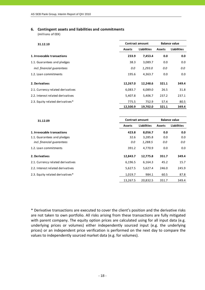### **6. Contingent assets and liabilities and commitments**

(millions of EEK)

| 31.12.10                          |               | <b>Contract amount</b> | <b>Balance value</b> |                    |  |
|-----------------------------------|---------------|------------------------|----------------------|--------------------|--|
|                                   | <b>Assets</b> | <b>Liabilities</b>     | <b>Assets</b>        | <b>Liabilities</b> |  |
| 1. Irrevocable transactions       | 233.9         | 7,453.4                | 0.0                  | 0.0                |  |
| 1.1. Guarantees and pledges       | 38.3          | 3,089.7                | 0.0                  | 0.0                |  |
| incl. financial quarantees        | 0.0           | 1,293.0                | 0.0                  | 0.0                |  |
| 1.2. Loan commitments             | 195.6         | 4,363.7                | 0.0                  | 0.0                |  |
| 2. Derivatives                    | 12,267.0      | 12,248.6               | 321.1                | 349.4              |  |
| 2.1. Currency related derivatives | 6,083.7       | 6,089.0                | 26.5                 | 31.8               |  |
| 2.2. Interest related derivatives | 5,407.8       | 5,406.7                | 237.2                | 237.1              |  |
| 2.3. Equity related derivatives*  | 775.5         | 752.9                  | 57.4                 | 80.5               |  |
|                                   | 12,500.9      | 19,702.0               | 321.1                | 349.4              |  |

| 31.12.09                          | Contract amount                     |          | <b>Balance value</b> |                    |  |
|-----------------------------------|-------------------------------------|----------|----------------------|--------------------|--|
|                                   | <b>Liabilities</b><br><b>Assets</b> |          | <b>Assets</b>        | <b>Liabilities</b> |  |
| 1. Irrevocable transactions       | 423.8                               | 8,056.7  | 0.0                  | 0.0                |  |
| 1.1. Guarantees and pledges       | 32.6                                | 3,285.8  | 0.0                  | 0.0                |  |
| incl. financial quarantees        | 0.0                                 | 1,288.5  | 0.0                  | 0.0                |  |
| 1.2. Loan commitments             | 391.2                               | 4,770.9  | 0.0                  | 0.0                |  |
| 2. Derivatives                    | 12,843.7                            | 12,775.8 | 351.7                | 349.4              |  |
| 2.1. Currency related derivatives | 6,196.5                             | 6,164.3  | 45.2                 | 15.7               |  |
| 2.2. Interest related derivatives | 5,627.5                             | 5,627.4  | 246.0                | 245.9              |  |
| 2.3. Equity related derivatives*  | 1,019.7                             | 984.1    | 60.5                 | 87.8               |  |
|                                   | 13,267.5                            | 20,832.5 | 351.7                | 349.4              |  |

\* Derivative transactions are executed to cover the client's position and the derivative risks are not taken to own portfolio. All risks arising from these transactions are fully mitigated with parent company. The equity option prices are calculated using for all input data (e.g. underlying prices or volumes) either independently sourced input (e.g. the underlying prices) or an independent price verification is performed on the next day to compare the values to independently sourced market data (e.g. for volumes).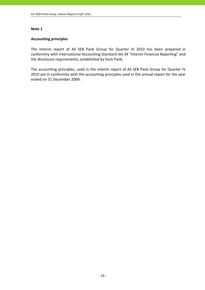### **Accounting principles**

The interim report of AS SEB Pank Group for Quarter IV 2010 has been prepared in conformity with International Accounting Standard IAS 34 "Interim Financial Reporting" and the disclosure requirements, established by Eesti Pank.

The accounting principles, used in the interim report of AS SEB Pank Group for Quarter IV 2010 are in conformity with the accounting principles used in the annual report for the year ended on 31 December 2009.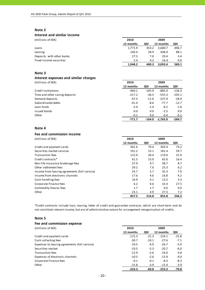### **Interest and similar income**

(millions of EEK) **2010 2009**

|                           | 12 months | QIV   | 12 months | QIV   |
|---------------------------|-----------|-------|-----------|-------|
| Loans                     | 1,771.9   | 453.2 | 2.600.7   | 496.7 |
| Leasing                   | 146.4     | 28.9  | 446.9     | 88.1  |
| Deposits with other banks | 27.5      | 7.0   | 29.4      | 3.4   |
| Fixed income securities   | 2.4       | 0.2   | 16.4      | 0.9   |
|                           | 1.948.2   | 489.3 | 3.093.4   | 589.1 |

### **Note 3**

### **Interest expenses and similar charges** (millions of EEK) **2010 2009**

|                                | 12 months | QIV      | 12 months  | QIV      |
|--------------------------------|-----------|----------|------------|----------|
| Credit institutions            | $-460.1$  | $-105.9$ | $-885.0$   | $-136.3$ |
| Time and other saving deposits | $-217.2$  | $-36.5$  | $-555.3$   | $-105.1$ |
| Demand deposits                | $-47.5$   | $-11.6$  | $-237.9$   | $-28.9$  |
| Subordinated debts             | $-41.4$   | $-8.6$   | $-77.7$    | $-12.7$  |
| Loan funds                     | $-5.4$    | $-1.4$   | $-6.2$     | $-1.6$   |
| Issued bonds                   | 0.0       | 0.0      | $-2.5$     | 0.0      |
| Other                          | $-0.1$    | 0.0      | $-0.4$     | $-0.1$   |
|                                | -771.7    | -164.0   | $-1.765.0$ | $-284.7$ |

### **Note 4**

### **Fee and commission income**

| (millions of EEK)                             | 2010      |       | 2009      |       |
|-----------------------------------------------|-----------|-------|-----------|-------|
|                                               | 12 months | QIV   | 12 months | QIV   |
| Credit and payment cards                      | 301.6     | 79.4  | 303.4     | 73.2  |
| Securities market services                    | 191.2     | 53.1  | 181.4     | 59.7  |
| Transaction fees                              | 115.9     | 30.4  | 119.0     | 31.9  |
| Credit contracts*                             | 61.5      | 15.0  | 65.0      | 16.4  |
| Non-life insurance brokerage fees             | 37.9      | 9.7   | 38.7      | 8.7   |
| Other settlement fees                         | 29.2      | 7.6   | 23.3      | 6.2   |
| Income from leasing agreements (full service) | 24.7      | 5.7   | 35.3      | 7.9   |
| Income from electronic channels               | 17.6      | 4.6   | 16.8      | 4.2   |
| Cash handling fees                            | 16.9      | 4.1   | 13.2      | 3.3   |
| Corporate Finance fees                        | 6.2       | 0.6   | 32.4      | 27.5  |
| Commodity futures fees                        | 1.7       | 1.7   | 0.0       | 0.0   |
| Other                                         | 23.1      | 4.9   | 27.3      | 7.2   |
|                                               | 827.5     | 216.8 | 855.8     | 246.2 |

\*Credit contracts include loan, leasing, letter of credit and guarantee contracts, which are short‐term and do not constitute interest income, but are of administrative nature for arrangement reorganisation of credits.

### **Note 5**

| Fee and commission expense                    |           |         |           |         |
|-----------------------------------------------|-----------|---------|-----------|---------|
| (millions of EEK)                             | 2010      | 2009    |           |         |
|                                               | 12 months | QIV     | 12 months | QIV     |
| Credit and payment cards                      | $-115.3$  | $-31.3$ | $-124.1$  | $-31.8$ |
| Cash collecting fees                          | $-30.7$   | $-10.1$ | $-27.6$   | $-7.1$  |
| Expenses to leasing agreements (full service) | $-19.5$   | $-4.9$  | $-26.7$   | $-5.9$  |
| Securities market                             | $-19.5$   | $-5.3$  | $-20.7$   | $-6.0$  |
| Transaction fees                              | $-12.9$   | $-2.6$  | $-16.6$   | $-3.8$  |
| Expenses of electronic channels               | $-10.5$   | $-2.6$  | $-13.9$   | $-4.0$  |
| Corporate Finance fees                        | $-0.1$    | $-0.1$  | $-8.3$    | $-8.3$  |
| Other                                         | $-15.8$   | $-3.9$  | $-15.4$   | $-3.9$  |
|                                               | $-224.3$  | $-60.8$ | $-253.3$  | $-70.8$ |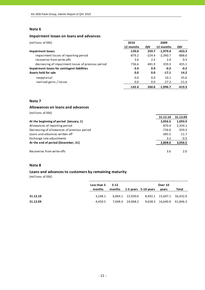### **Impairment losses on loans and advances**

| (millions of EEK)                                  | 2010      |          | 2009       |          |
|----------------------------------------------------|-----------|----------|------------|----------|
|                                                    | 12 months | QIV      | 12 months  | QIV      |
| <b>Impairment losses</b>                           | $-139.0$  | 259.7    | $-1,979.4$ | $-433.3$ |
| impairment losses of reporting period              | $-879.2$  | $-224.4$ | $-2,340.7$ | $-888.6$ |
| recoveries from write-offs                         | 3.6       | 2.2      | 2.0        | 0.3      |
| decreasing of impairment losses of previous period | 736.6     | 481.9    | 359.3      | 455.1    |
| Impairment losses for contingent liabilities       | $-3.4$    | 0.9      | $-0.2$     | $-0.2$   |
| Assets held for sale                               | 0.0       | 0.0      | $-17.1$    | 14.2     |
| reappraisal                                        | 0.0       | 0.0      | 10.1       | 35.6     |
| realised gains / losses                            | 0.0       | 0.0      | $-27.2$    | $-21.4$  |
|                                                    | $-142.4$  | 260.6    | $-1.996.7$ | $-419.3$ |

### **Note 7**

### **Allowances on loans and advances**

(millions of EEK)

|                                             | 31.12.10 | 31.12.09 |
|---------------------------------------------|----------|----------|
| At the beginning of period (January, 1)     | 3,056.5  | 1,093.9  |
| Allowances of reporting period              | 870.4    | 2,334.1  |
| Decreasing of allowances of previous period | $-736.6$ | $-359.3$ |
| Loans and advances written off              | $-385.5$ | $-11.7$  |
| Exchange rate adjustments                   | 3.2      | $-0.5$   |
| At the end of period (December, 31)         | 2,808.0  | 3,056.5  |
|                                             |          |          |
| Recoveries from write-offs                  | 3.6      | 2.0      |

### **Note 8**

### **Loans and advances to customers by remaining maturity**

|          | Less than 3 | $3-12$ |                                            | Over 10 |       |  |
|----------|-------------|--------|--------------------------------------------|---------|-------|--|
|          | months      | months | 1-5 years $5-10$ years                     | vears   | Total |  |
| 31.12.10 | 3.248.1     |        | 6,064.1 22,930.6 8,492.1 15,697.1 56,432.0 |         |       |  |
| 31.12.09 | 4.450.5     |        | 7,048.4 24,068.2 9,638.3 16,640.9 61,846.3 |         |       |  |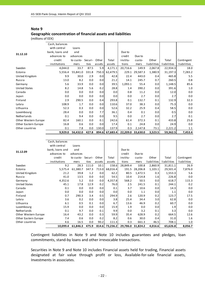### **Geographic concentration of financial assets and liabilities**

(millions of EEK)

|                      | Cash, balances  |                         |       |        |          |                   |          |             |             |             |
|----------------------|-----------------|-------------------------|-------|--------|----------|-------------------|----------|-------------|-------------|-------------|
|                      | with central    | Loans                   |       |        |          |                   |          |             |             |             |
| 31.12.10             | bank, loans and | and                     |       |        |          | Due to            |          |             |             |             |
|                      | advances to     | advances                |       |        |          | credit            | Due to   |             |             |             |
|                      | credit          | to custo- Securi- Other |       |        | Total    | institu-          | custo-   | Other       | Total       | Contingent  |
|                      | institutions    | mers                    | ti es | assets | assets   | tions             | mers     | liabilities | liabilities | liabilities |
| Sweden               | 4,044.0         | 33.7                    | 87.5  | 5.9    | 4,171.1  | 20,716.6          | 149.9    | 2,067.8     | 22,934.3    | 18.0        |
| Estonia              | 5,556.4         | 55,841.0                | 331.8 | 750.3  | 62,479.5 | 229.1             | 29,587.3 | 1,380.9     | 31,197.3    | 7,283.2     |
| United Kingdom       | 9.9             | 30.0                    | 2.9   | 0.0    | 42.8     | 22.4              | 443.0    | 0.4         | 465.8       | 5.5         |
| Russia               | 13.0            | 8.2                     | 0.0   | 0.0    | 21.2     | 14.1              | 245.7    | 0.7         | 260.5       | 0.8         |
| Germany              | 5.6             | 33.9                    | 0.0   | 0.0    | 39.5     | 1,093.1           | 55.4     | 0.0         | 1,148.5     | 85.6        |
| <b>United States</b> | 8.2             | 14.8                    | 5.6   | 0.2    | 28.8     | 1.4               | 390.2    | 0.0         | 391.6       | 1.0         |
| Canada               | 0.0             | 0.0                     | 0.0   | 0.0    | 0.0      | 0.8               | 11.2     | 0.0         | 12.0        | 0.0         |
| Japan                | 0.0             | 0.0                     | 0.0   | 0.0    | 0.0      | 0.0               | 2.7      | 0.0         | 2.7         | 0.0         |
| Finland              | 2.9             | 290.5                   | 0.0   | 0.4    | 293.8    | 0.1               | 132.7    | 0.1         | 132.9       | 32.3        |
| Latvia               | 108.9           | 1.7                     | 0.0   | 0.0    | 110.6    | 37.0              | 38.3     | 0.0         | 75.3        | 0.0         |
| Lithuania            | 52.3            | 0.3                     | 0.0   | 0.0    | 52.6     | 32.2              | 25.9     | 0.4         | 58.5        | 0.0         |
| Luxembourg           | 28.4            | 0.0                     | 0.0   | 7.7    | 36.1     | 0.4               | 0.1      | 0.0         | 0.5         | 0.0         |
| Netherlands          | 0.1             | 9.4                     | 0.0   | 0.0    | 9.5      | 0.0               | 2.7      | 0.0         | 2.7         | 0.1         |
| Other Western Europe | 82.4            | 160.1                   | 0.0   | 0.1    | 242.6    | 61.4              | 372.3    | 0.1         | 433.8       | 25.8        |
| Other Eastern Europe | 16.8            | 0.6                     | 0.0   | 0.0    | 17.4     | 0.1               | 24.8     | 0.0         | 24.9        | 0.0         |
| Other countries      | 0.1             | 7.8                     | 0.0   | 130.0  | 137.9    | 0.3               | 2,147.8  | 73.1        | 2,221.2     | 1.1         |
|                      | 9,929.0         | 56,432.0                | 427.8 | 894.6  | 67,683.4 | 22,209.0 33,630.0 |          | 3,523.5     | 59,362.5    | 7,453.4     |

|                      | Cash, balances  |                         |       |        |                |                   |          |             |             |             |
|----------------------|-----------------|-------------------------|-------|--------|----------------|-------------------|----------|-------------|-------------|-------------|
|                      | with central    | Loans                   |       |        |                |                   |          |             |             |             |
|                      | bank, loans and | and                     |       |        |                | Due to            |          |             |             |             |
| 31.12.09             | advances to     | advances                |       |        |                | credit            | Due to   |             |             |             |
|                      | credit          | to custo- Securi- Other |       |        | Total          | institu-          | custo-   | Other       | Total       | Contingent  |
|                      | institutions    | mers                    | ties  | assets | assets         | tions             | mers     | liabilities | liabilities | liabilities |
| Sweden               | 9.2             | 28.3                    | 111.0 | 10.1   | 158.6          | 28,849.4          | 100.8    | 2,860.9     | 31,811.1    | 26.9        |
| Estonia              | 5,575.4         | 61,380.7                | 347.3 | 713.0  | 68,016.4       | 191.5             | 28,206.8 | 1,103.1     | 29,501.4    | 7,876.0     |
| United Kingdom       | 21.2            | 39.8                    | 1.2   | 0.0    | 62.2           | 80.5              | 1,472.5  | 0.3         | 1,553.3     | 5.6         |
| Russia               | 41.0            | 13.5                    | 0.0   | 0.0    | 54.5           | 10.4              | 214.8    | 1.6         | 226.8       | 0.0         |
| Germany              | 4,352.6         | 5.2                     | 0.0   | 0.0    | 4,357.8        | 568.2             | 50.5     | 0.0         | 618.7       | 115.3       |
| <b>United States</b> | 45.1            | 17.8                    | 12.9  | 0.2    | 76.0           | 2.5               | 241.5    | 0.1         | 244.1       | 0.2         |
| Canada               | 0.1             | 0.0                     | 0.0   | 0.0    | 0.1            | 3.7               | 10.6     | 0.0         | 14.3        | 0.0         |
| Japan                | 0.0             | 0.0                     | 0.0   | 0.0    | 0.0            | 0.0               | 1.1      | 0.0         | 1.1         | 0.0         |
| Finland              | 0.7             | 290.3                   | 3.4   | 0.5    | 294.9          | 2.6               | 120.9    | 0.2         | 123.7       | 17.5        |
| Latvia               | 3.6             | 0.2                     | 0.0   | 0.0    | 3.8            | 25.4              | 34.4     | 3.0         | 62.8        | 0.0         |
| Lithuania            | 6.1             | 0.5                     | 0.1   | 0.0    | 6.7            | 13.6              | 46.9     | 0.2         | 60.7        | 0.0         |
| Luxembourg           | 15.9            | 0.0                     | 0.0   | 0.0    | 15.9           | 1.9               | 0.0      | 0.0         | 1.9         | 0.0         |
| Netherlands          | 0.1             | 9.7                     | 0.0   | 0.1    | 9.9            | 0.0               | 3.2      | 0.1         | 3.3         | 0.0         |
| Other Western Europe | 16.4            | 43.2                    | 0.0   | 0.3    | 59.9           | 35.4              | 628.9    | 0.2         | 664.5       | 12.6        |
| Other Eastern Europe | 7.4             | 0.6                     | 0.0   | 0.2    | 8.2            | 0.6               | 30.0     | 0.4         | 31.0        | 1.6         |
| Other countries      | 4.6             | 16.5                    | 0.0   | 90.2   | 111.3          | 0.3               | 661.3    | 46.5        | 708.1       | 1.0         |
|                      | 10,099.4        | 61,846.3                | 475.9 |        | 814.6 73,236.2 | 29,786.0 31,824.2 |          | 4,016.6     | 65,626.8    | 8,056.7     |

Contingent liabilities in Note 9 and Note 10 includes guarantees and pledges, loan commitments, stand‐by loans and other irrevocable transactions.

Securities in Note 9 and Note 10 includes Financial assets held for trading, Financial assets designated at fair value through profit or loss, Available‐for‐sale financial assets, Investments in associates.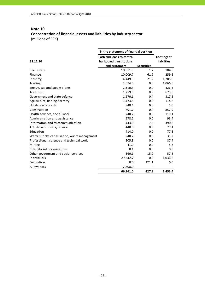### **Note 10 Concentration of financial assets and liabilities by industry sector** (millions of EEK)

| In the statement of financial position       |                           |                   |             |  |
|----------------------------------------------|---------------------------|-------------------|-------------|--|
|                                              | Cash and loans to central |                   | Contingent  |  |
| 31.12.10                                     | bank, credit institutions |                   | liabilities |  |
|                                              | and customers             | <b>Securities</b> |             |  |
| Real estate                                  | 10,511.5                  | 1.2               | 104.5       |  |
| Finance                                      | 10,009.7                  | 61.9              | 259.5       |  |
| Industry                                     | 4,449.5                   | 21.2              | 1,705.0     |  |
| Trading                                      | 2,674.0                   | 0.0               | 1,066.6     |  |
| Energy, gas and steam plants                 | 2,310.3                   | 0.0               | 426.5       |  |
| Transport                                    | 1,759.5                   | 0.0               | 673.8       |  |
| Government and state defence                 | 1,670.1                   | 0.4               | 317.5       |  |
| Agriculture, fishing, forestry               | 1,423.5                   | 0.0               | 114.8       |  |
| Hotels, restaurants                          | 848.4                     | 0.0               | 5.0         |  |
| Construction                                 | 791.7                     | 0.0               | 852.9       |  |
| Health services, social work                 | 748.2                     | 0.0               | 119.1       |  |
| Administration and assistance                | 578.2                     | 0.0               | 93.4        |  |
| Information and telecommunication            | 443.0                     | 7.0               | 390.8       |  |
| Art, show business, leisure                  | 440.0                     | 0.0               | 27.1        |  |
| Education                                    | 414.0                     | 0.0               | 77.8        |  |
| Water supply, canalisation, waste management | 248.2                     | 0.0               | 31.2        |  |
| Professional, science and technical work     | 205.3                     | 0.0               | 87.4        |  |
| Mining                                       | 41.0                      | 0.0               | 5.6         |  |
| Exterritorial organisations                  | 0.1                       | 0.0               | 0.5         |  |
| Other government and social services         | 360.1                     | 15.0              | 57.8        |  |
| Individuals                                  | 29,242.7                  | 0.0               | 1,036.6     |  |
| Derivatives                                  | 0.0                       | 321.1             | 0.0         |  |
| Allowances                                   | $-2,808.0$                |                   |             |  |
|                                              | 66,361.0                  | 427.8             | 7,453.4     |  |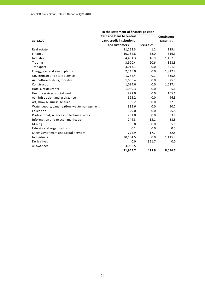|                                              | In the statement of financial position |                   |                    |
|----------------------------------------------|----------------------------------------|-------------------|--------------------|
|                                              | Cash and loans to central              |                   | Contingent         |
| 31.12.09                                     | bank, credit institutions              |                   | <b>liabilities</b> |
|                                              | and customers                          | <b>Securities</b> |                    |
| Real estate                                  | 11,212.3                               | 1.2               | 129.4              |
| Finance                                      | 10,184.8                               | 52.0              | 316.3              |
| Industry                                     | 4,481.3                                | 16.9              | 1,467.3            |
| Trading                                      | 3,900.4                                | 20.6              | 868.8              |
| Transport                                    | 3,013.1                                | 0.0               | 301.3              |
| Energy, gas and steam plants                 | 2,545.0                                | 0.0               | 1,842.2            |
| Government and state defence                 | 1,784.4                                | 0.7               | 335.5              |
| Agriculture, fishing, forestry               | 1,605.4                                | 0.0               | 75.5               |
| Construction                                 | 1,094.6                                | 0.0               | 1,027.4            |
| Hotels, restaurants                          | 1,039.3                                | 0.0               | 5.6                |
| Health services, social work                 | 822.0                                  | 0.0               | 105.6              |
| Administration and assistance                | 595.2                                  | 0.0               | 96.3               |
| Art, show business, leisure                  | 539.2                                  | 0.0               | 32.3               |
| Water supply, canalisation, waste management | 335.6                                  | 0.0               | 50.7               |
| Education                                    | 329.0                                  | 0.0               | 95.8               |
| Professional, science and technical work     | 261.0                                  | 0.0               | 63.8               |
| Information and telecommunication            | 244.3                                  | 15.1              | 88.8               |
| Mining                                       | 135.8                                  | 0.0               | 5.5                |
| Exterritorial organisations                  | 0.1                                    | 0.0               | 0.5                |
| Other government and social services         | 774.9                                  | 17.7              | 32.8               |
| Individuals                                  | 30,104.5                               | 0.0               | 1,115.3            |
| Derivatives                                  | 0.0                                    | 351.7             | 0.0                |
| Allowances                                   | $-3,056.5$                             |                   |                    |
|                                              | 71,945.7                               | 475.9             | 8,056.7            |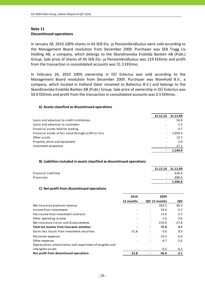### **Note 11 Discontinued operations**

In January 28, 2010 100% shares in AS SEB Elu‐ ja Pensionikindlustus were sold according to the Management Board resolution from December 2009. Purchaser was SEB Trygg Liv Holding AB, a company, which belongs to the Skandinaviska Enskilda Banken AB (Publ.) Group. Sale price of shares of AS SEB Elu‐ ja Pensionikindlustus was 219 EEKmio and profit from the transaction in consolidated accounts was 51.3 EEKmio.

In February 26, 2010 100% ownership in OÜ Estectus was sold according to the Management Board resolution from December 2009. Purchaser was Warehold B.V., a company, which located in Holland (later renamed to Baltectus B.V.) and belongs to the Skandinaviska Enskilda Banken AB (Publ.) Group. Sale price of ownership in OÜ Estectus was 50.6 EEKmio and profit from the transaction in consolidated accounts was 0.5 EEKmio.

### **A) Assets classified as discontinued operations**

|                                                       | 31.12.10 | 31.12.09 |
|-------------------------------------------------------|----------|----------|
| Loans and advances to credit institutions             |          | 54.8     |
| Loans and advances to customers                       |          | 2.3      |
| Financial assets held for trading                     |          | 9.7      |
| Financial assets at fair value through profit or loss |          | 1,050.3  |
| Other assets                                          |          | 14.7     |
| Property, plant and equipment                         |          | 2.0      |
| Investment properties                                 |          | 27.1     |
|                                                       |          | 1.160.9  |

### **B) Liabilitiesincluded in assets classified as discontinued operations**

|                              |                          | 31.12.10 31.12.09 |
|------------------------------|--------------------------|-------------------|
| <b>Financial liabilities</b> | $\overline{\phantom{a}}$ | 626.4             |
| Provisions                   | $\sim$                   | 680.4             |
|                              | $\blacksquare$           | 1.306.8           |

### **C) Net profit from discontinued operations**

|                                                           | 2010      |                          | 2009          |         |
|-----------------------------------------------------------|-----------|--------------------------|---------------|---------|
|                                                           | 12 months |                          | QIV 12 months | QIV     |
| Net insurance premium revenue                             |           |                          | 182.5         | 40.3    |
| Income from investments                                   |           |                          | 34.0          | $-5.7$  |
| Fee income from investment contracts                      |           | $\overline{\phantom{a}}$ | 13.4          | $-2.7$  |
| Other operating income                                    |           | $\overline{\phantom{a}}$ | $-1.0$        | 0.6     |
| Net insurance claims and disbursements                    |           | $\qquad \qquad -$        | $-153.0$      | $-27.8$ |
| Total net income from insurance activities                |           | $\hbox{ }$               | 75.9          | 4.7     |
| Gains less losses from investment securities              | 51.8      |                          | 0.0           | 0.0     |
| Personnel expenses                                        |           | $\overline{\phantom{a}}$ | $-19.3$       | $-5.0$  |
| Other expenses                                            |           |                          | $-9.7$        | $-2.6$  |
| Depreciation, amortisation and impairment of tangible and |           |                          |               |         |
| intangible assets                                         |           |                          | $-0.5$        | $-0.2$  |
| Net profit from discontinued operations                   | 51.8      |                          | 46.4          | $-3.1$  |